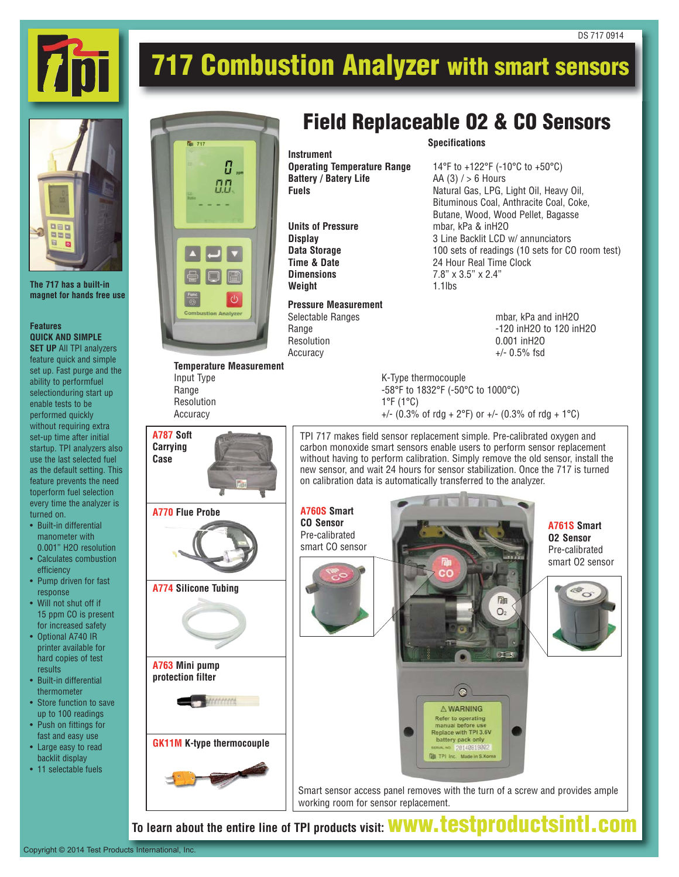

## **717 Combustion Analyzer with smart sensors**



**The 717 has a built-in magnet for hands free use**

## **Features QUICK AND SIMPLE**

**SET UP** All TPI analyzers feature quick and simple set up. Fast purge and the ability to performfuel selectionduring start up enable tests to be performed quickly without requiring extra set-up time after initial startup. TPI analyzers also use the last selected fuel as the default setting. This feature prevents the need toperform fuel selection every time the analyzer is turned on.

- Built-in differential manometer with 0.001" H2O resolution
- Calculates combustion efficiency
- Pump driven for fast response
- Will not shut off if 15 ppm CO is present for increased safety
- Optional A740 IR printer available for hard copies of test results
- Built-in differential thermometer
- Store function to save up to 100 readings
- Push on fittings for fast and easy use
- Large easy to read backlit display
- 11 selectable fuels



**Temperature Measurement** Input Type K-Type thermocouple

**A787 Soft Carrying Case**

## **Field Replaceable O2 & CO Sensors**

**Instrument Battery / Batery Life** AA (3) / > 6 Hours

**Weight** 1.1lbs

**Pressure Measurement** Resolution 0.001 inH2O<br>Accuracy +/- 0.5% fsd

**Specifications**

**Operating Temperature Range** 14°F to +122°F (-10°C to +50°C) **Fuels** Natural Gas, LPG, Light Oil, Heavy Oil, Bituminous Coal, Anthracite Coal, Coke, Butane, Wood, Wood Pellet, Bagasse **Units of Pressure** mbar, kPa & inH2O **Display** 3 Line Backlit LCD w/ annunciators<br> **Data Storage** 3 200 100 sets of readings (10 sets for CO **Data Storage** 100 sets of readings (10 sets for CO room test)<br> **Time & Date** 24 Hour Real Time Clock 24 Hour Real Time Clock **Dimensions** 7.8" x 3.5" x 2.4"

DS 717 0914

mbar, kPa and inH2O Range **-120 inH2O** to 120 inH2O  $+/-$  0.5% fsd

Range -58°F to 1832°F (-50°C to 1000°C)  $1^{\circ}F(1^{\circ}C)$ Accuracy  $+/- (0.3\% \text{ of } rdg + 2\degree F) \text{ or } +/- (0.3\% \text{ of } rdg + 1\degree C)$ 

> TPI 717 makes field sensor replacement simple. Pre-calibrated oxygen and carbon monoxide smart sensors enable users to perform sensor replacement without having to perform calibration. Simply remove the old sensor, install the new sensor, and wait 24 hours for sensor stabilization. Once the 717 is turned on calibration data is automatically transferred to the analyzer.



**To learn about the entire line of TPI products visit: www.testproductsintl.com**